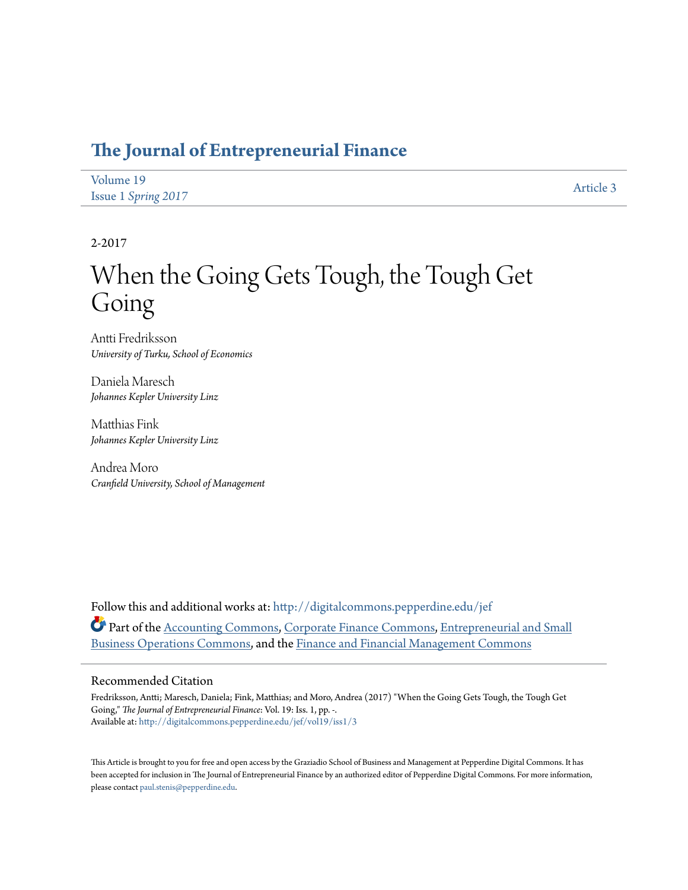## **[The Journal of Entrepreneurial Finance](http://digitalcommons.pepperdine.edu/jef?utm_source=digitalcommons.pepperdine.edu%2Fjef%2Fvol19%2Fiss1%2F3&utm_medium=PDF&utm_campaign=PDFCoverPages)**

| Volume 19                  | Article 3 |
|----------------------------|-----------|
| <b>Issue 1 Spring 2017</b> |           |

2-2017

# When the Going Gets Tough, the Tough Get Going

Antti Fredriksson *University of Turku, School of Economics*

Daniela Maresch *Johannes Kepler University Linz*

Matthias Fink *Johannes Kepler University Linz*

Andrea Moro *Cranfield University, School of Management*

Follow this and additional works at: [http://digitalcommons.pepperdine.edu/jef](http://digitalcommons.pepperdine.edu/jef?utm_source=digitalcommons.pepperdine.edu%2Fjef%2Fvol19%2Fiss1%2F3&utm_medium=PDF&utm_campaign=PDFCoverPages) Part of the [Accounting Commons](http://network.bepress.com/hgg/discipline/625?utm_source=digitalcommons.pepperdine.edu%2Fjef%2Fvol19%2Fiss1%2F3&utm_medium=PDF&utm_campaign=PDFCoverPages), [Corporate Finance Commons](http://network.bepress.com/hgg/discipline/629?utm_source=digitalcommons.pepperdine.edu%2Fjef%2Fvol19%2Fiss1%2F3&utm_medium=PDF&utm_campaign=PDFCoverPages), [Entrepreneurial and Small](http://network.bepress.com/hgg/discipline/630?utm_source=digitalcommons.pepperdine.edu%2Fjef%2Fvol19%2Fiss1%2F3&utm_medium=PDF&utm_campaign=PDFCoverPages) [Business Operations Commons](http://network.bepress.com/hgg/discipline/630?utm_source=digitalcommons.pepperdine.edu%2Fjef%2Fvol19%2Fiss1%2F3&utm_medium=PDF&utm_campaign=PDFCoverPages), and the [Finance and Financial Management Commons](http://network.bepress.com/hgg/discipline/631?utm_source=digitalcommons.pepperdine.edu%2Fjef%2Fvol19%2Fiss1%2F3&utm_medium=PDF&utm_campaign=PDFCoverPages)

### Recommended Citation

Fredriksson, Antti; Maresch, Daniela; Fink, Matthias; and Moro, Andrea (2017) "When the Going Gets Tough, the Tough Get Going," *The Journal of Entrepreneurial Finance*: Vol. 19: Iss. 1, pp. -. Available at: [http://digitalcommons.pepperdine.edu/jef/vol19/iss1/3](http://digitalcommons.pepperdine.edu/jef/vol19/iss1/3?utm_source=digitalcommons.pepperdine.edu%2Fjef%2Fvol19%2Fiss1%2F3&utm_medium=PDF&utm_campaign=PDFCoverPages)

This Article is brought to you for free and open access by the Graziadio School of Business and Management at Pepperdine Digital Commons. It has been accepted for inclusion in The Journal of Entrepreneurial Finance by an authorized editor of Pepperdine Digital Commons. For more information, please contact [paul.stenis@pepperdine.edu](mailto:paul.stenis@pepperdine.edu).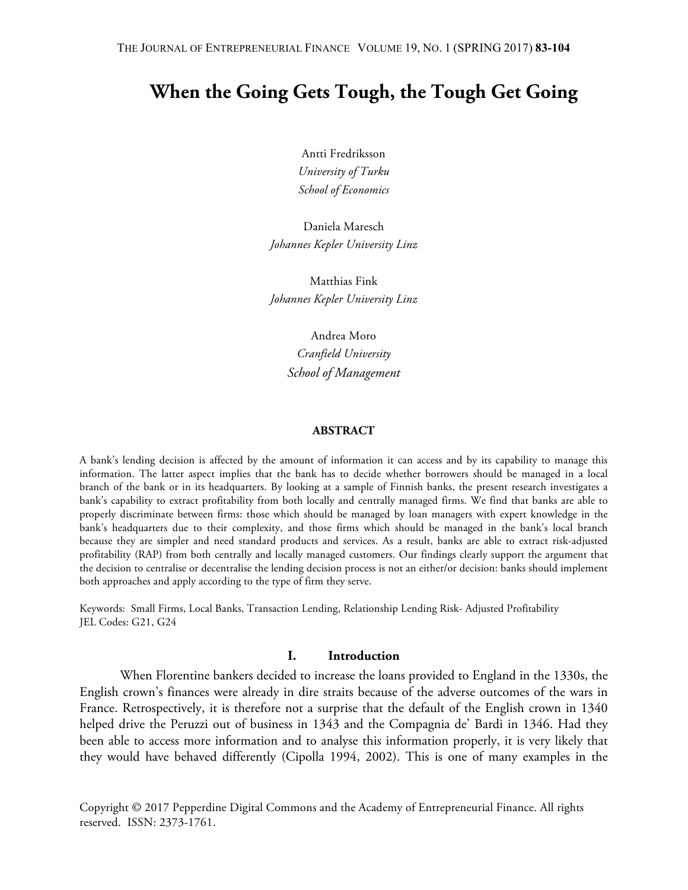# **When the Going Gets Tough, the Tough Get Going**

Antti Fredriksson *University of Turku School of Economics*

Daniela Maresch *Johannes Kepler University Linz*

Matthias Fink *Johannes Kepler University Linz*

> Andrea Moro *Cranfield University School of Management*

### **ABSTRACT**

A bank's lending decision is affected by the amount of information it can access and by its capability to manage this information. The latter aspect implies that the bank has to decide whether borrowers should be managed in a local branch of the bank or in its headquarters. By looking at a sample of Finnish banks, the present research investigates a bank's capability to extract profitability from both locally and centrally managed firms. We find that banks are able to properly discriminate between firms: those which should be managed by loan managers with expert knowledge in the bank's headquarters due to their complexity, and those firms which should be managed in the bank's local branch because they are simpler and need standard products and services. As a result, banks are able to extract risk-adjusted profitability (RAP) from both centrally and locally managed customers. Our findings clearly support the argument that the decision to centralise or decentralise the lending decision process is not an either/or decision: banks should implement both approaches and apply according to the type of firm they serve.

Keywords: Small Firms, Local Banks, Transaction Lending, Relationship Lending Risk- Adjusted Profitability JEL Codes: G21, G24

### **I. Introduction**

When Florentine bankers decided to increase the loans provided to England in the 1330s, the English crown's finances were already in dire straits because of the adverse outcomes of the wars in France. Retrospectively, it is therefore not a surprise that the default of the English crown in 1340 helped drive the Peruzzi out of business in 1343 and the Compagnia de' Bardi in 1346. Had they been able to access more information and to analyse this information properly, it is very likely that they would have behaved differently (Cipolla 1994, 2002). This is one of many examples in the

Copyright © 2017 Pepperdine Digital Commons and the Academy of Entrepreneurial Finance. All rights reserved. ISSN: 2373-1761.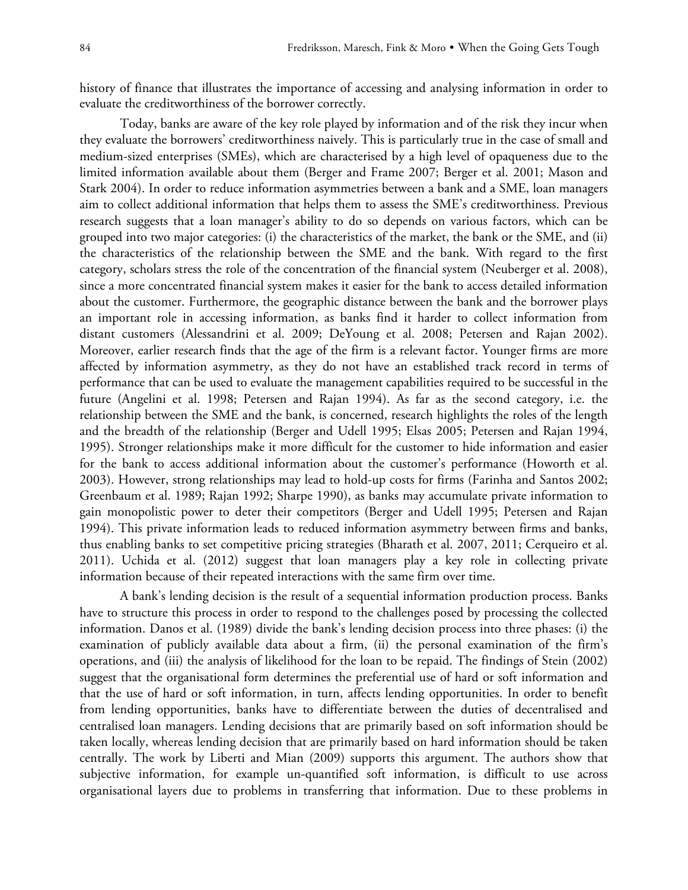history of finance that illustrates the importance of accessing and analysing information in order to evaluate the creditworthiness of the borrower correctly.

Today, banks are aware of the key role played by information and of the risk they incur when they evaluate the borrowers' creditworthiness naively. This is particularly true in the case of small and medium-sized enterprises (SMEs), which are characterised by a high level of opaqueness due to the limited information available about them (Berger and Frame 2007; Berger et al. 2001; Mason and Stark 2004). In order to reduce information asymmetries between a bank and a SME, loan managers aim to collect additional information that helps them to assess the SME's creditworthiness. Previous research suggests that a loan manager's ability to do so depends on various factors, which can be grouped into two major categories: (i) the characteristics of the market, the bank or the SME, and (ii) the characteristics of the relationship between the SME and the bank. With regard to the first category, scholars stress the role of the concentration of the financial system (Neuberger et al. 2008), since a more concentrated financial system makes it easier for the bank to access detailed information about the customer. Furthermore, the geographic distance between the bank and the borrower plays an important role in accessing information, as banks find it harder to collect information from distant customers (Alessandrini et al. 2009; DeYoung et al. 2008; Petersen and Rajan 2002). Moreover, earlier research finds that the age of the firm is a relevant factor. Younger firms are more affected by information asymmetry, as they do not have an established track record in terms of performance that can be used to evaluate the management capabilities required to be successful in the future (Angelini et al. 1998; Petersen and Rajan 1994). As far as the second category, i.e. the relationship between the SME and the bank, is concerned, research highlights the roles of the length and the breadth of the relationship (Berger and Udell 1995; Elsas 2005; Petersen and Rajan 1994, 1995). Stronger relationships make it more difficult for the customer to hide information and easier for the bank to access additional information about the customer's performance (Howorth et al. 2003). However, strong relationships may lead to hold-up costs for firms (Farinha and Santos 2002; Greenbaum et al. 1989; Rajan 1992; Sharpe 1990), as banks may accumulate private information to gain monopolistic power to deter their competitors (Berger and Udell 1995; Petersen and Rajan 1994). This private information leads to reduced information asymmetry between firms and banks, thus enabling banks to set competitive pricing strategies (Bharath et al. 2007, 2011; Cerqueiro et al. 2011). Uchida et al. (2012) suggest that loan managers play a key role in collecting private information because of their repeated interactions with the same firm over time.

A bank's lending decision is the result of a sequential information production process. Banks have to structure this process in order to respond to the challenges posed by processing the collected information. Danos et al. (1989) divide the bank's lending decision process into three phases: (i) the examination of publicly available data about a firm, (ii) the personal examination of the firm's operations, and (iii) the analysis of likelihood for the loan to be repaid. The findings of Stein (2002) suggest that the organisational form determines the preferential use of hard or soft information and that the use of hard or soft information, in turn, affects lending opportunities. In order to benefit from lending opportunities, banks have to differentiate between the duties of decentralised and centralised loan managers. Lending decisions that are primarily based on soft information should be taken locally, whereas lending decision that are primarily based on hard information should be taken centrally. The work by Liberti and Mian (2009) supports this argument. The authors show that subjective information, for example un-quantified soft information, is difficult to use across organisational layers due to problems in transferring that information. Due to these problems in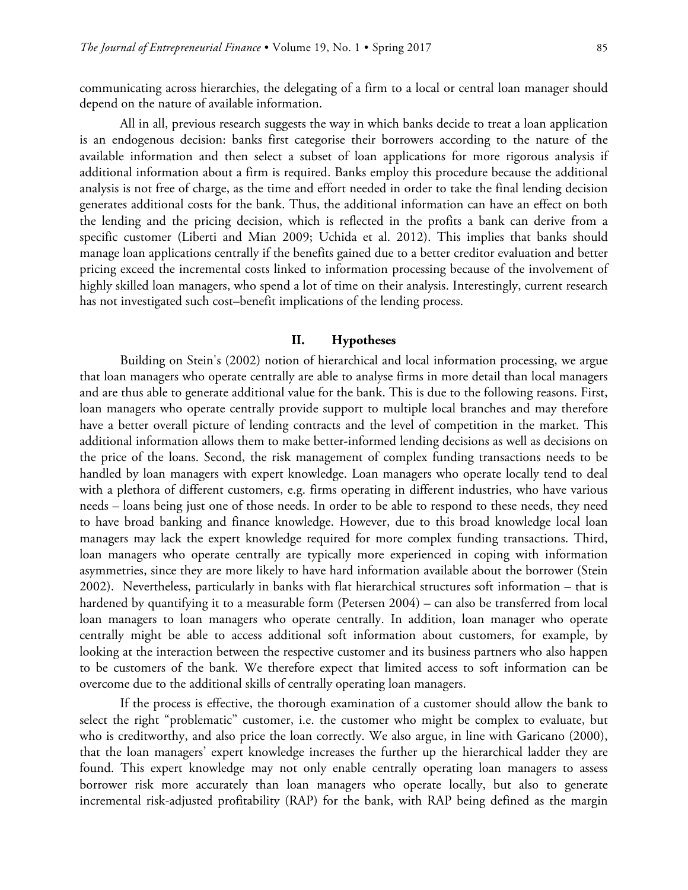communicating across hierarchies, the delegating of a firm to a local or central loan manager should depend on the nature of available information.

All in all, previous research suggests the way in which banks decide to treat a loan application is an endogenous decision: banks first categorise their borrowers according to the nature of the available information and then select a subset of loan applications for more rigorous analysis if additional information about a firm is required. Banks employ this procedure because the additional analysis is not free of charge, as the time and effort needed in order to take the final lending decision generates additional costs for the bank. Thus, the additional information can have an effect on both the lending and the pricing decision, which is reflected in the profits a bank can derive from a specific customer (Liberti and Mian 2009; Uchida et al. 2012). This implies that banks should manage loan applications centrally if the benefits gained due to a better creditor evaluation and better pricing exceed the incremental costs linked to information processing because of the involvement of highly skilled loan managers, who spend a lot of time on their analysis. Interestingly, current research has not investigated such cost–benefit implications of the lending process.

### **II. Hypotheses**

Building on Stein's (2002) notion of hierarchical and local information processing, we argue that loan managers who operate centrally are able to analyse firms in more detail than local managers and are thus able to generate additional value for the bank. This is due to the following reasons. First, loan managers who operate centrally provide support to multiple local branches and may therefore have a better overall picture of lending contracts and the level of competition in the market. This additional information allows them to make better-informed lending decisions as well as decisions on the price of the loans. Second, the risk management of complex funding transactions needs to be handled by loan managers with expert knowledge. Loan managers who operate locally tend to deal with a plethora of different customers, e.g. firms operating in different industries, who have various needs – loans being just one of those needs. In order to be able to respond to these needs, they need to have broad banking and finance knowledge. However, due to this broad knowledge local loan managers may lack the expert knowledge required for more complex funding transactions. Third, loan managers who operate centrally are typically more experienced in coping with information asymmetries, since they are more likely to have hard information available about the borrower (Stein 2002). Nevertheless, particularly in banks with flat hierarchical structures soft information – that is hardened by quantifying it to a measurable form (Petersen 2004) – can also be transferred from local loan managers to loan managers who operate centrally. In addition, loan manager who operate centrally might be able to access additional soft information about customers, for example, by looking at the interaction between the respective customer and its business partners who also happen to be customers of the bank. We therefore expect that limited access to soft information can be overcome due to the additional skills of centrally operating loan managers.

If the process is effective, the thorough examination of a customer should allow the bank to select the right "problematic" customer, i.e. the customer who might be complex to evaluate, but who is creditworthy, and also price the loan correctly. We also argue, in line with Garicano (2000), that the loan managers' expert knowledge increases the further up the hierarchical ladder they are found. This expert knowledge may not only enable centrally operating loan managers to assess borrower risk more accurately than loan managers who operate locally, but also to generate incremental risk-adjusted profitability (RAP) for the bank, with RAP being defined as the margin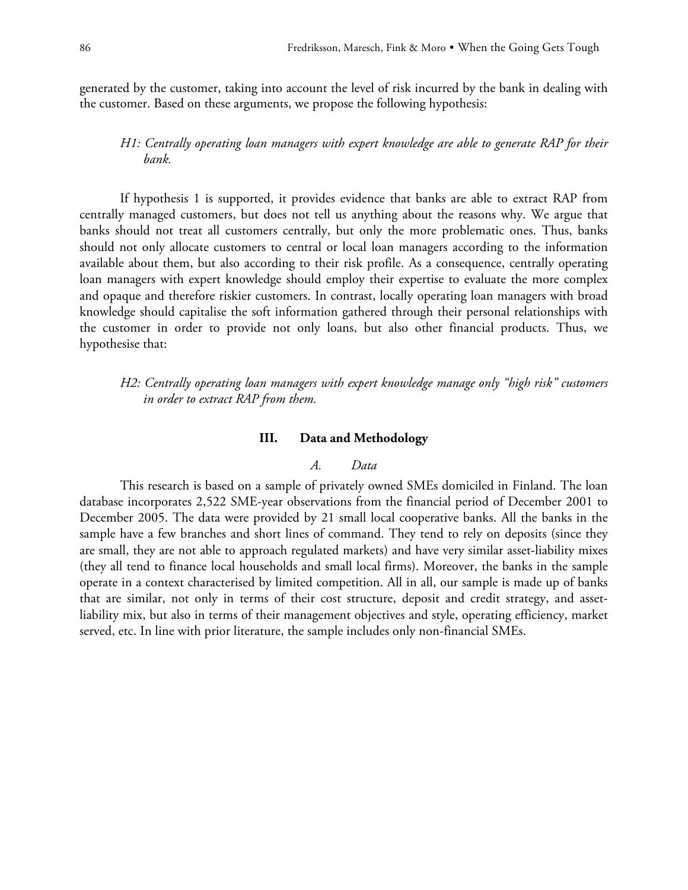generated by the customer, taking into account the level of risk incurred by the bank in dealing with the customer. Based on these arguments, we propose the following hypothesis:

### *H1: Centrally operating loan managers with expert knowledge are able to generate RAP for their bank.*

If hypothesis 1 is supported, it provides evidence that banks are able to extract RAP from centrally managed customers, but does not tell us anything about the reasons why. We argue that banks should not treat all customers centrally, but only the more problematic ones. Thus, banks should not only allocate customers to central or local loan managers according to the information available about them, but also according to their risk profile. As a consequence, centrally operating loan managers with expert knowledge should employ their expertise to evaluate the more complex and opaque and therefore riskier customers. In contrast, locally operating loan managers with broad knowledge should capitalise the soft information gathered through their personal relationships with the customer in order to provide not only loans, but also other financial products. Thus, we hypothesise that:

*H2: Centrally operating loan managers with expert knowledge manage only "high risk" customers in order to extract RAP from them.*

### **III. Data and Methodology**

### *A. Data*

This research is based on a sample of privately owned SMEs domiciled in Finland. The loan database incorporates 2,522 SME-year observations from the financial period of December 2001 to December 2005. The data were provided by 21 small local cooperative banks. All the banks in the sample have a few branches and short lines of command. They tend to rely on deposits (since they are small, they are not able to approach regulated markets) and have very similar asset-liability mixes (they all tend to finance local households and small local firms). Moreover, the banks in the sample operate in a context characterised by limited competition. All in all, our sample is made up of banks that are similar, not only in terms of their cost structure, deposit and credit strategy, and assetliability mix, but also in terms of their management objectives and style, operating efficiency, market served, etc. In line with prior literature, the sample includes only non-financial SMEs.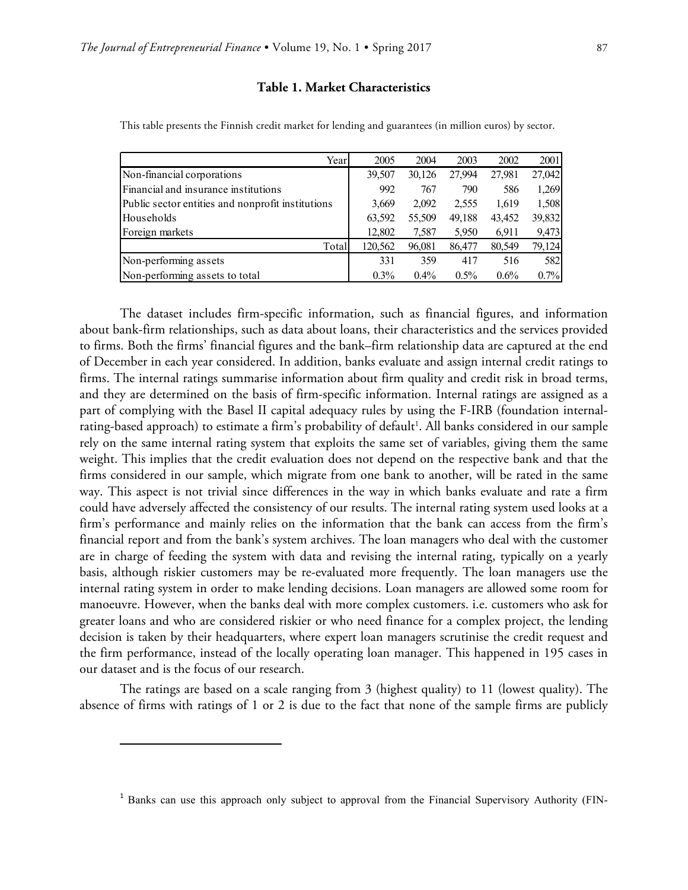### **Table 1. Market Characteristics**

| Year                                              | 2005    | 2004    | 2003    | 2002    | 2001   |
|---------------------------------------------------|---------|---------|---------|---------|--------|
| Non-financial corporations                        | 39,507  | 30,126  | 27,994  | 27.981  | 27,042 |
| Financial and insurance institutions              | 992     | 767     | 790     | 586     | 1,269  |
| Public sector entities and nonprofit institutions | 3,669   | 2,092   | 2,555   | 1,619   | 1,508  |
| Households                                        | 63,592  | 55,509  | 49,188  | 43,452  | 39,832 |
| Foreign markets                                   | 12,802  | 7,587   | 5,950   | 6,911   | 9,473  |
| Total                                             | 120,562 | 96,081  | 86,477  | 80,549  | 79,124 |
| Non-performing assets                             | 331     | 359     | 417     | 516     | 582    |
| Non-performing assets to total                    | $0.3\%$ | $0.4\%$ | $0.5\%$ | $0.6\%$ | 0.7%   |

This table presents the Finnish credit market for lending and guarantees (in million euros) by sector.

The dataset includes firm-specific information, such as financial figures, and information about bank-firm relationships, such as data about loans, their characteristics and the services provided to firms. Both the firms' financial figures and the bank–firm relationship data are captured at the end of December in each year considered. In addition, banks evaluate and assign internal credit ratings to firms. The internal ratings summarise information about firm quality and credit risk in broad terms, and they are determined on the basis of firm-specific information. Internal ratings are assigned as a part of complying with the Basel II capital adequacy rules by using the F-IRB (foundation internalrating-based approach) to estimate a firm's probability of default<sup>1</sup>. All banks considered in our sample rely on the same internal rating system that exploits the same set of variables, giving them the same weight. This implies that the credit evaluation does not depend on the respective bank and that the firms considered in our sample, which migrate from one bank to another, will be rated in the same way. This aspect is not trivial since differences in the way in which banks evaluate and rate a firm could have adversely affected the consistency of our results. The internal rating system used looks at a firm's performance and mainly relies on the information that the bank can access from the firm's financial report and from the bank's system archives. The loan managers who deal with the customer are in charge of feeding the system with data and revising the internal rating, typically on a yearly basis, although riskier customers may be re-evaluated more frequently. The loan managers use the internal rating system in order to make lending decisions. Loan managers are allowed some room for manoeuvre. However, when the banks deal with more complex customers. i.e. customers who ask for greater loans and who are considered riskier or who need finance for a complex project, the lending decision is taken by their headquarters, where expert loan managers scrutinise the credit request and the firm performance, instead of the locally operating loan manager. This happened in 195 cases in our dataset and is the focus of our research.

The ratings are based on a scale ranging from 3 (highest quality) to 11 (lowest quality). The absence of firms with ratings of 1 or 2 is due to the fact that none of the sample firms are publicly

 $\overline{a}$ 

<sup>&</sup>lt;sup>1</sup> Banks can use this approach only subject to approval from the Financial Supervisory Authority (FIN-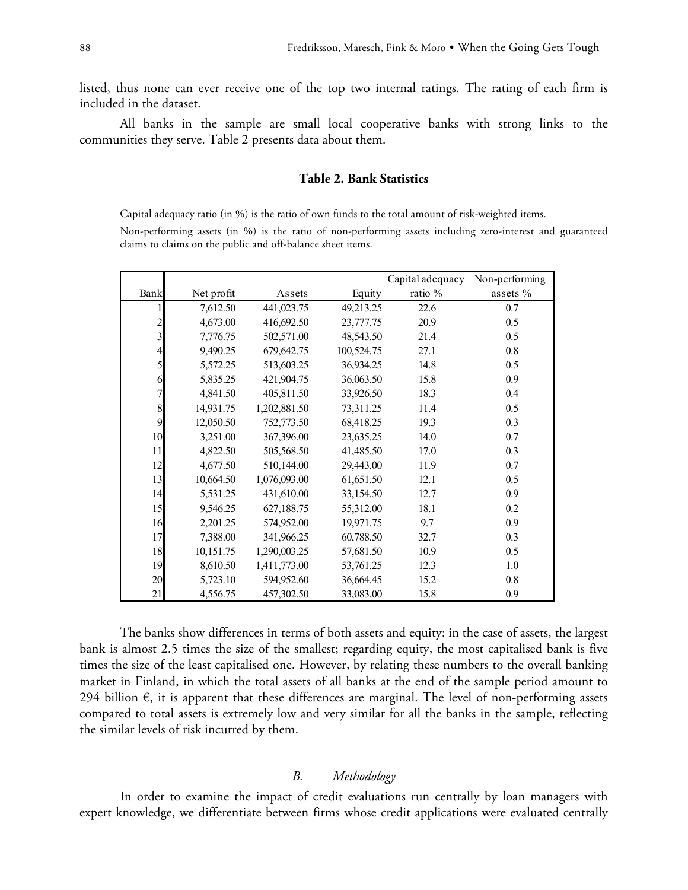listed, thus none can ever receive one of the top two internal ratings. The rating of each firm is included in the dataset.

All banks in the sample are small local cooperative banks with strong links to the communities they serve. Table 2 presents data about them.

### **Table 2. Bank Statistics**

Capital adequacy ratio (in %) is the ratio of own funds to the total amount of risk-weighted items. Non-performing assets (in %) is the ratio of non-performing assets including zero-interest and guaranteed claims to claims on the public and off-balance sheet items.

|                         |            |              |            | Capital adequacy | Non-performing |
|-------------------------|------------|--------------|------------|------------------|----------------|
| Bank                    | Net profit | Assets       | Equity     | ratio %          | assets %       |
|                         | 7,612.50   | 441,023.75   | 49,213.25  | 22.6             | 0.7            |
| $\overline{c}$          | 4,673.00   | 416,692.50   | 23,777.75  | 20.9             | 0.5            |
| $\overline{\mathbf{3}}$ | 7,776.75   | 502,571.00   | 48,543.50  | 21.4             | 0.5            |
| 4                       | 9,490.25   | 679,642.75   | 100,524.75 | 27.1             | 0.8            |
| 5                       | 5,572.25   | 513,603.25   | 36,934.25  | 14.8             | 0.5            |
| 6                       | 5,835.25   | 421,904.75   | 36,063.50  | 15.8             | 0.9            |
| 7                       | 4,841.50   | 405,811.50   | 33,926.50  | 18.3             | 0.4            |
| 8                       | 14,931.75  | 1,202,881.50 | 73,311.25  | 11.4             | 0.5            |
| 9                       | 12,050.50  | 752,773.50   | 68,418.25  | 19.3             | 0.3            |
| 10                      | 3,251.00   | 367,396.00   | 23,635.25  | 14.0             | 0.7            |
| 11                      | 4,822.50   | 505,568.50   | 41,485.50  | 17.0             | 0.3            |
| 12                      | 4,677.50   | 510,144.00   | 29,443.00  | 11.9             | 0.7            |
| 13                      | 10,664.50  | 1,076,093.00 | 61,651.50  | 12.1             | 0.5            |
| 14                      | 5,531.25   | 431,610.00   | 33,154.50  | 12.7             | 0.9            |
| 15                      | 9,546.25   | 627,188.75   | 55,312.00  | 18.1             | 0.2            |
| 16                      | 2,201.25   | 574,952.00   | 19,971.75  | 9.7              | 0.9            |
| 17                      | 7,388.00   | 341,966.25   | 60,788.50  | 32.7             | 0.3            |
| 18                      | 10,151.75  | 1,290,003.25 | 57,681.50  | 10.9             | 0.5            |
| 19                      | 8,610.50   | 1,411,773.00 | 53,761.25  | 12.3             | 1.0            |
| 20                      | 5,723.10   | 594,952.60   | 36,664.45  | 15.2             | 0.8            |
| 21                      | 4,556.75   | 457,302.50   | 33,083.00  | 15.8             | 0.9            |

The banks show differences in terms of both assets and equity: in the case of assets, the largest bank is almost 2.5 times the size of the smallest; regarding equity, the most capitalised bank is five times the size of the least capitalised one. However, by relating these numbers to the overall banking market in Finland, in which the total assets of all banks at the end of the sample period amount to 294 billion  $\epsilon$ , it is apparent that these differences are marginal. The level of non-performing assets compared to total assets is extremely low and very similar for all the banks in the sample, reflecting the similar levels of risk incurred by them.

### *B. Methodology*

In order to examine the impact of credit evaluations run centrally by loan managers with expert knowledge, we differentiate between firms whose credit applications were evaluated centrally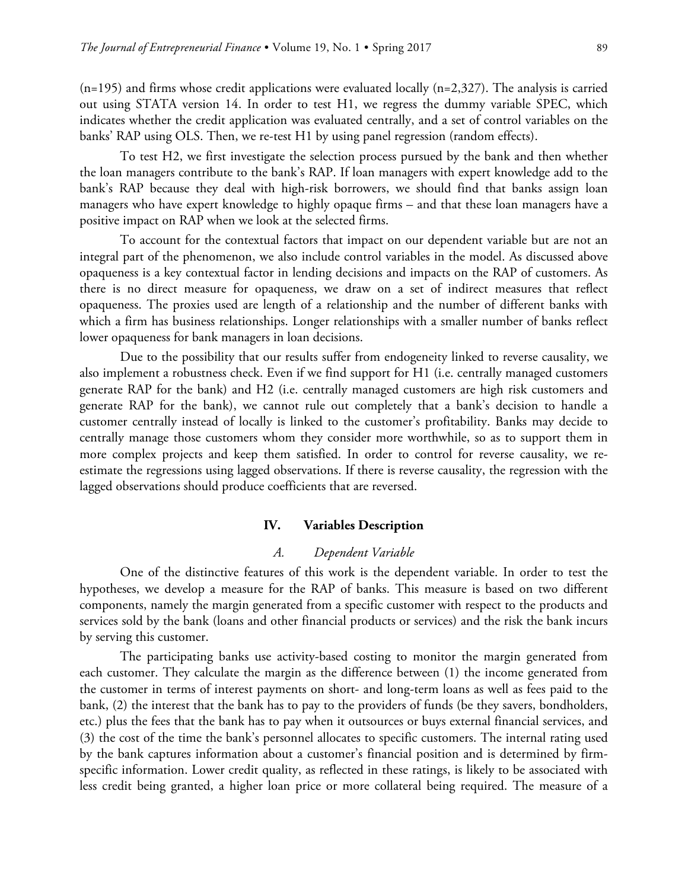$(n=195)$  and firms whose credit applications were evaluated locally  $(n=2,327)$ . The analysis is carried out using STATA version 14. In order to test H1, we regress the dummy variable SPEC, which indicates whether the credit application was evaluated centrally, and a set of control variables on the banks' RAP using OLS. Then, we re-test H1 by using panel regression (random effects).

To test H2, we first investigate the selection process pursued by the bank and then whether the loan managers contribute to the bank's RAP. If loan managers with expert knowledge add to the bank's RAP because they deal with high-risk borrowers, we should find that banks assign loan managers who have expert knowledge to highly opaque firms – and that these loan managers have a positive impact on RAP when we look at the selected firms.

To account for the contextual factors that impact on our dependent variable but are not an integral part of the phenomenon, we also include control variables in the model. As discussed above opaqueness is a key contextual factor in lending decisions and impacts on the RAP of customers. As there is no direct measure for opaqueness, we draw on a set of indirect measures that reflect opaqueness. The proxies used are length of a relationship and the number of different banks with which a firm has business relationships. Longer relationships with a smaller number of banks reflect lower opaqueness for bank managers in loan decisions.

Due to the possibility that our results suffer from endogeneity linked to reverse causality, we also implement a robustness check. Even if we find support for H1 (i.e. centrally managed customers generate RAP for the bank) and H2 (i.e. centrally managed customers are high risk customers and generate RAP for the bank), we cannot rule out completely that a bank's decision to handle a customer centrally instead of locally is linked to the customer's profitability. Banks may decide to centrally manage those customers whom they consider more worthwhile, so as to support them in more complex projects and keep them satisfied. In order to control for reverse causality, we reestimate the regressions using lagged observations. If there is reverse causality, the regression with the lagged observations should produce coefficients that are reversed.

### **IV. Variables Description**

### *A. Dependent Variable*

One of the distinctive features of this work is the dependent variable. In order to test the hypotheses, we develop a measure for the RAP of banks. This measure is based on two different components, namely the margin generated from a specific customer with respect to the products and services sold by the bank (loans and other financial products or services) and the risk the bank incurs by serving this customer.

The participating banks use activity-based costing to monitor the margin generated from each customer. They calculate the margin as the difference between (1) the income generated from the customer in terms of interest payments on short- and long-term loans as well as fees paid to the bank, (2) the interest that the bank has to pay to the providers of funds (be they savers, bondholders, etc.) plus the fees that the bank has to pay when it outsources or buys external financial services, and (3) the cost of the time the bank's personnel allocates to specific customers. The internal rating used by the bank captures information about a customer's financial position and is determined by firmspecific information. Lower credit quality, as reflected in these ratings, is likely to be associated with less credit being granted, a higher loan price or more collateral being required. The measure of a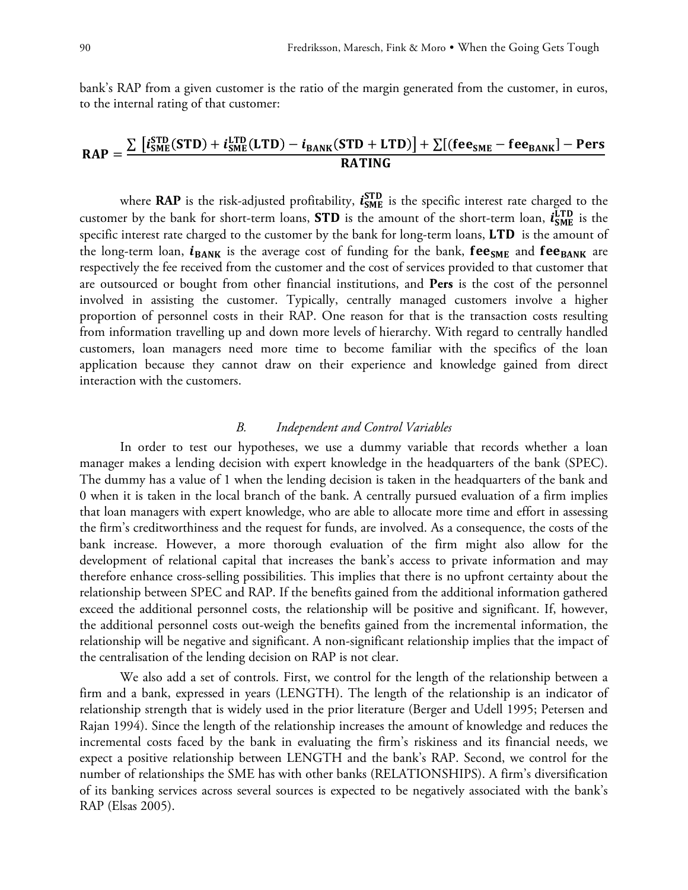bank's RAP from a given customer is the ratio of the margin generated from the customer, in euros, to the internal rating of that customer:

### $RAP = \frac{\sum [i_{SME}^{STD}(STD) + i_{SME}^{LTD}(LTD) - i_{BANK}(STD + LTD)] + \sum [(fee_{SME} - fee_{BANK}] - Pers)}{PATINC}$ **RATING**

where **RAP** is the risk-adjusted profitability,  $i_{SME}^{STD}$  is the specific interest rate charged to the customer by the bank for short-term loans, **STD** is the amount of the short-term loan,  $i_{SME}^{LTD}$  is the specific interest rate charged to the customer by the bank for long-term loans,  $\text{LTD}$  is the amount of the long-term loan,  $i_{\text{BANK}}$  is the average cost of funding for the bank,  $\text{fee}_{\text{SME}}$  and  $\text{fee}_{\text{BANK}}$  are respectively the fee received from the customer and the cost of services provided to that customer that are outsourced or bought from other financial institutions, and **Pers** is the cost of the personnel involved in assisting the customer. Typically, centrally managed customers involve a higher proportion of personnel costs in their RAP. One reason for that is the transaction costs resulting from information travelling up and down more levels of hierarchy. With regard to centrally handled customers, loan managers need more time to become familiar with the specifics of the loan application because they cannot draw on their experience and knowledge gained from direct interaction with the customers.

### *B. Independent and Control Variables*

In order to test our hypotheses, we use a dummy variable that records whether a loan manager makes a lending decision with expert knowledge in the headquarters of the bank (SPEC). The dummy has a value of 1 when the lending decision is taken in the headquarters of the bank and 0 when it is taken in the local branch of the bank. A centrally pursued evaluation of a firm implies that loan managers with expert knowledge, who are able to allocate more time and effort in assessing the firm's creditworthiness and the request for funds, are involved. As a consequence, the costs of the bank increase. However, a more thorough evaluation of the firm might also allow for the development of relational capital that increases the bank's access to private information and may therefore enhance cross-selling possibilities. This implies that there is no upfront certainty about the relationship between SPEC and RAP. If the benefits gained from the additional information gathered exceed the additional personnel costs, the relationship will be positive and significant. If, however, the additional personnel costs out-weigh the benefits gained from the incremental information, the relationship will be negative and significant. A non-significant relationship implies that the impact of the centralisation of the lending decision on RAP is not clear.

We also add a set of controls. First, we control for the length of the relationship between a firm and a bank, expressed in years (LENGTH). The length of the relationship is an indicator of relationship strength that is widely used in the prior literature (Berger and Udell 1995; Petersen and Rajan 1994). Since the length of the relationship increases the amount of knowledge and reduces the incremental costs faced by the bank in evaluating the firm's riskiness and its financial needs, we expect a positive relationship between LENGTH and the bank's RAP. Second, we control for the number of relationships the SME has with other banks (RELATIONSHIPS). A firm's diversification of its banking services across several sources is expected to be negatively associated with the bank's RAP (Elsas 2005).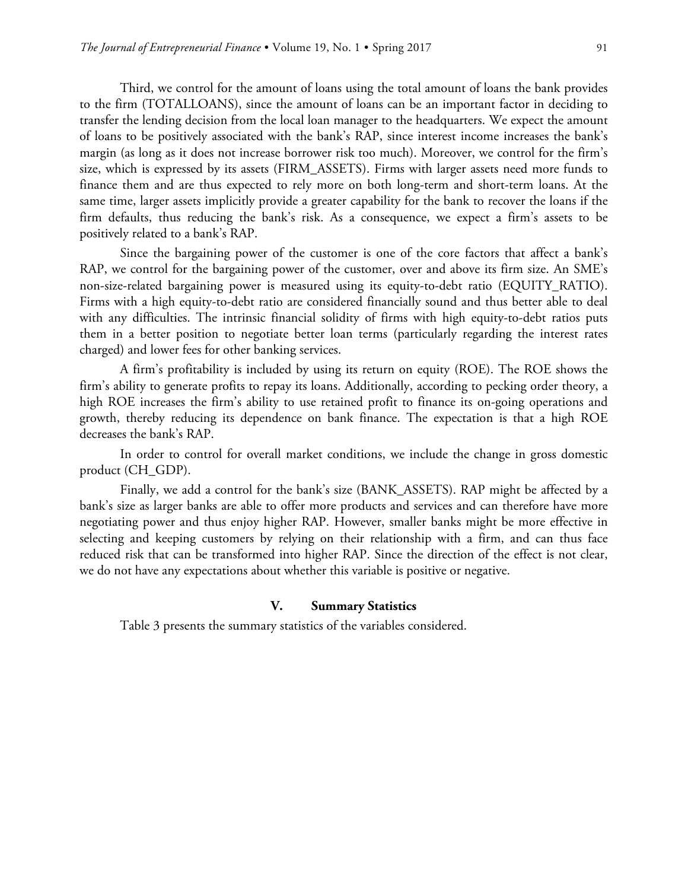Third, we control for the amount of loans using the total amount of loans the bank provides to the firm (TOTALLOANS), since the amount of loans can be an important factor in deciding to transfer the lending decision from the local loan manager to the headquarters. We expect the amount of loans to be positively associated with the bank's RAP, since interest income increases the bank's margin (as long as it does not increase borrower risk too much). Moreover, we control for the firm's size, which is expressed by its assets (FIRM\_ASSETS). Firms with larger assets need more funds to finance them and are thus expected to rely more on both long-term and short-term loans. At the same time, larger assets implicitly provide a greater capability for the bank to recover the loans if the firm defaults, thus reducing the bank's risk. As a consequence, we expect a firm's assets to be positively related to a bank's RAP.

Since the bargaining power of the customer is one of the core factors that affect a bank's RAP, we control for the bargaining power of the customer, over and above its firm size. An SME's non-size-related bargaining power is measured using its equity-to-debt ratio (EQUITY\_RATIO). Firms with a high equity-to-debt ratio are considered financially sound and thus better able to deal with any difficulties. The intrinsic financial solidity of firms with high equity-to-debt ratios puts them in a better position to negotiate better loan terms (particularly regarding the interest rates charged) and lower fees for other banking services.

A firm's profitability is included by using its return on equity (ROE). The ROE shows the firm's ability to generate profits to repay its loans. Additionally, according to pecking order theory, a high ROE increases the firm's ability to use retained profit to finance its on-going operations and growth, thereby reducing its dependence on bank finance. The expectation is that a high ROE decreases the bank's RAP.

In order to control for overall market conditions, we include the change in gross domestic product (CH\_GDP).

Finally, we add a control for the bank's size (BANK\_ASSETS). RAP might be affected by a bank's size as larger banks are able to offer more products and services and can therefore have more negotiating power and thus enjoy higher RAP. However, smaller banks might be more effective in selecting and keeping customers by relying on their relationship with a firm, and can thus face reduced risk that can be transformed into higher RAP. Since the direction of the effect is not clear, we do not have any expectations about whether this variable is positive or negative.

### **V. Summary Statistics**

Table 3 presents the summary statistics of the variables considered.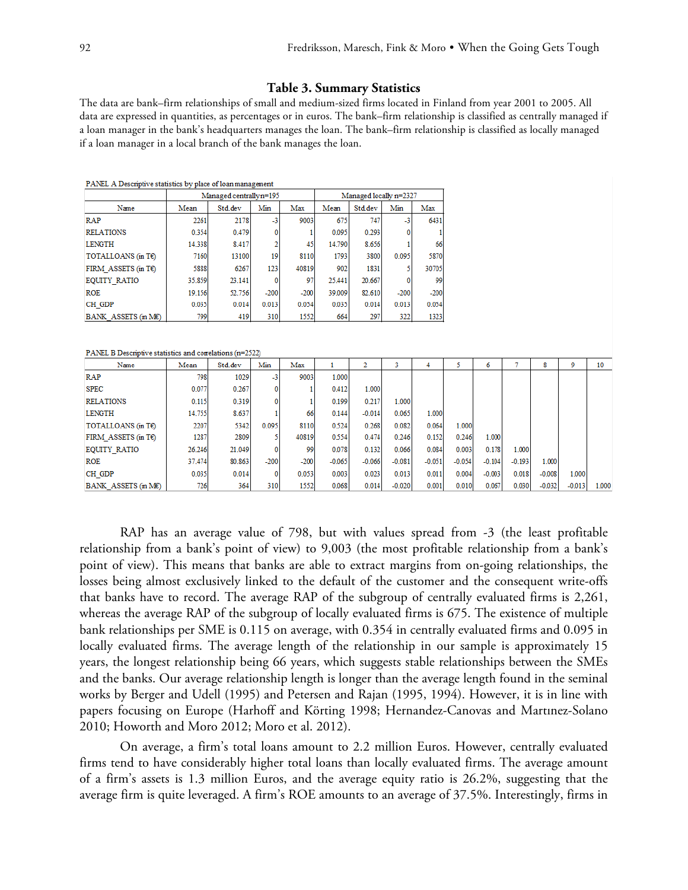#### **Table 3. Summary Statistics**

The data are bank–firm relationships of small and medium-sized firms located in Finland from year 2001 to 2005. All data are expressed in quantities, as percentages or in euros. The bank–firm relationship is classified as centrally managed if a loan manager in the bank's headquarters manages the loan. The bank–firm relationship is classified as locally managed if a loan manager in a local branch of the bank manages the loan.

| PANEL A Descriptive statistics by place of loan management |        |                         |        |        |          |                        |          |          |          |          |          |          |          |       |
|------------------------------------------------------------|--------|-------------------------|--------|--------|----------|------------------------|----------|----------|----------|----------|----------|----------|----------|-------|
|                                                            |        | Managed centrally n=195 |        |        |          | Managed locally n=2327 |          |          |          |          |          |          |          |       |
| Name                                                       | Mean   | Std.dev                 | Min    | Max    | Mean     | <b>Stddev</b>          | Min      | Max      |          |          |          |          |          |       |
| <b>RAP</b>                                                 | 2261   | 2178                    | $-3$   | 9003   | 675      | 747                    | -3       | 6431     |          |          |          |          |          |       |
| <b>RELATIONS</b>                                           | 0.354  | 0.479                   | 0      |        | 0.095    | 0.293                  | 0        |          |          |          |          |          |          |       |
| <b>LENGTH</b>                                              | 14.338 | 8.417                   | 2      | 45     | 14.790   | 8.656                  |          | 66       |          |          |          |          |          |       |
| TOTALLOANS (in T€)                                         | 7160   | 13100                   | 19     | 8110   | 1793     | 3800                   | 0.095    | 5870     |          |          |          |          |          |       |
| FIRM ASSETS (in $T\epsilon$ )                              | 5888   | 6267                    | 123    | 40819  | 902      | 1831                   | 5        | 30705    |          |          |          |          |          |       |
| <b>EQUITY RATIO</b>                                        | 35.859 | 23.141                  | 0      | 97     | 25.441   | 20.667                 | 0        | 99       |          |          |          |          |          |       |
| <b>ROE</b>                                                 | 19.156 | 52.756                  | $-200$ | $-200$ | 39.009   | 82.610                 | $-200$   | $-200$   |          |          |          |          |          |       |
| CH GDP                                                     | 0.035  | 0.014                   | 0.013  | 0.054  | 0.035    | 0.014                  | 0.013    | 0.054    |          |          |          |          |          |       |
| BANK ASSETS (in ME)                                        | 799    | 419                     | 310    | 1552   | 664      | 297                    | 322      | 1323     |          |          |          |          |          |       |
|                                                            |        |                         |        |        |          |                        |          |          |          |          |          |          |          |       |
| PANEL B Descriptive statistics and correlations (n=2522)   |        |                         |        |        |          |                        |          |          |          |          |          |          |          |       |
| Name                                                       | Mean   | Std.dev                 | Min    | Max    | 1        | 2                      | 3        | 4        | 5        | 6        | 7        | 8        | 9        | 10    |
| <b>RAP</b>                                                 | 798    | 1029                    | -3     | 9003   | 1.000    |                        |          |          |          |          |          |          |          |       |
| <b>SPEC</b>                                                | 0.077  | 0.267                   | 0      |        | 0.412    | 1.000                  |          |          |          |          |          |          |          |       |
| <b>RELATIONS</b>                                           | 0.115  | 0.319                   | 0      |        | 0.199    | 0.217                  | 1.000    |          |          |          |          |          |          |       |
| <b>LENGTH</b>                                              | 14.755 | 8.637                   |        | 66     | 0.144    | $-0.014$               | 0.065    | 1.000    |          |          |          |          |          |       |
| TOTALLOANS (in T€)                                         | 2207   | 5342                    | 0.095  | 8110   | 0.524    | 0.268                  | 0.082    | 0.064    | 1.000    |          |          |          |          |       |
| FIRM ASSETS (in $T\epsilon$ )                              | 1287   | 2809                    | 5      | 40819  | 0.554    | 0.474                  | 0.246    | 0.152    | 0.246    | 1.000    |          |          |          |       |
| <b>EQUITY RATIO</b>                                        | 26.246 | 21.049                  | 0      | 99     | 0.078    | 0.132                  | 0.066    | 0.084    | 0.003    | 0.178    | 1.000    |          |          |       |
| <b>ROE</b>                                                 | 37.474 | 80.863                  | $-200$ | $-200$ | $-0.065$ | $-0.066$               | $-0.081$ | $-0.051$ | $-0.054$ | $-0.104$ | $-0.193$ | 1.000    |          |       |
| CH GDP                                                     | 0.035  | 0.014                   | 0      | 0.053  | 0.003    | 0.023                  | 0.013    | 0.011    | 0.004    | $-0.003$ | 0.018    | $-0.008$ | 1.000    |       |
| BANK ASSETS (in ME)                                        | 726    | 364                     | 310    | 1552   | 0.068    | 0.014                  | $-0.020$ | 0.001    | 0.010    | 0.067    | 0.030    | $-0.032$ | $-0.013$ | 1.000 |

RAP has an average value of 798, but with values spread from -3 (the least profitable relationship from a bank's point of view) to 9,003 (the most profitable relationship from a bank's point of view). This means that banks are able to extract margins from on-going relationships, the losses being almost exclusively linked to the default of the customer and the consequent write-offs that banks have to record. The average RAP of the subgroup of centrally evaluated firms is 2,261, whereas the average RAP of the subgroup of locally evaluated firms is 675. The existence of multiple bank relationships per SME is 0.115 on average, with 0.354 in centrally evaluated firms and 0.095 in locally evaluated firms. The average length of the relationship in our sample is approximately 15 years, the longest relationship being 66 years, which suggests stable relationships between the SMEs and the banks. Our average relationship length is longer than the average length found in the seminal works by Berger and Udell (1995) and Petersen and Rajan (1995, 1994). However, it is in line with papers focusing on Europe (Harhoff and Körting 1998; Hernandez-Canovas and Martınez-Solano 2010; Howorth and Moro 2012; Moro et al. 2012).

On average, a firm's total loans amount to 2.2 million Euros. However, centrally evaluated firms tend to have considerably higher total loans than locally evaluated firms. The average amount of a firm's assets is 1.3 million Euros, and the average equity ratio is 26.2%, suggesting that the average firm is quite leveraged. A firm's ROE amounts to an average of 37.5%. Interestingly, firms in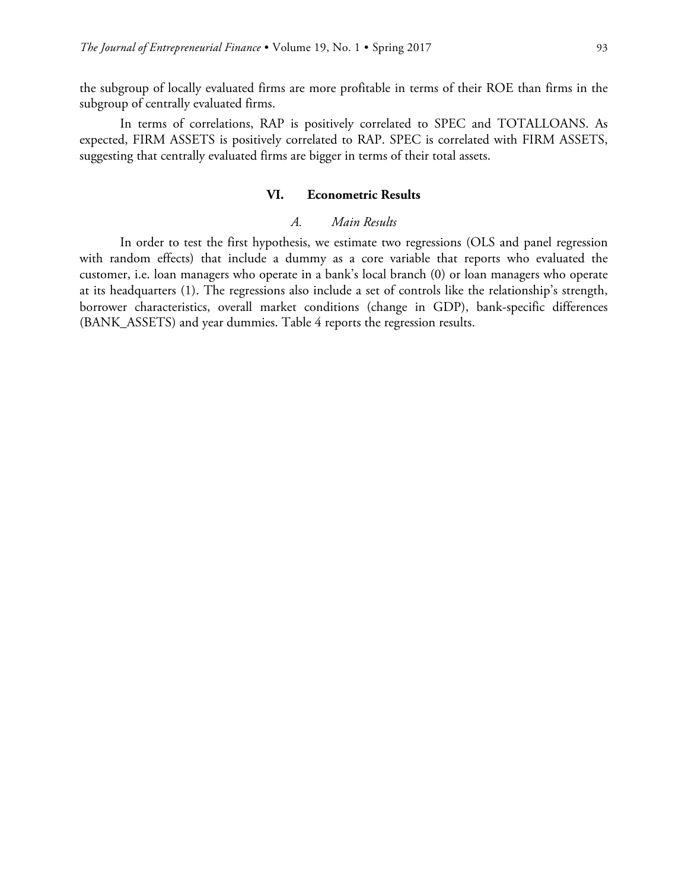the subgroup of locally evaluated firms are more profitable in terms of their ROE than firms in the subgroup of centrally evaluated firms.

In terms of correlations, RAP is positively correlated to SPEC and TOTALLOANS. As expected, FIRM ASSETS is positively correlated to RAP. SPEC is correlated with FIRM ASSETS, suggesting that centrally evaluated firms are bigger in terms of their total assets.

### **VI. Econometric Results**

### *A. Main Results*

In order to test the first hypothesis, we estimate two regressions (OLS and panel regression with random effects) that include a dummy as a core variable that reports who evaluated the customer, i.e. loan managers who operate in a bank's local branch (0) or loan managers who operate at its headquarters (1). The regressions also include a set of controls like the relationship's strength, borrower characteristics, overall market conditions (change in GDP), bank-specific differences (BANK\_ASSETS) and year dummies. Table 4 reports the regression results.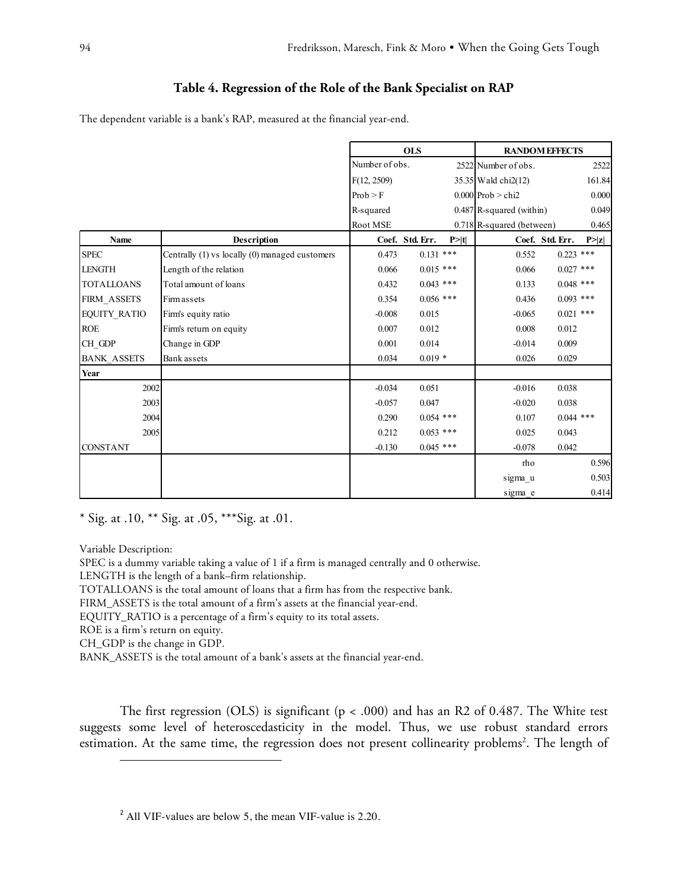### **Table 4. Regression of the Role of the Bank Specialist on RAP**

The dependent variable is a bank's RAP, measured at the financial year-end.

|                     |                                                | <b>OLS</b>     |                 | <b>RANDOM EFFECTS</b> |                            |                 |        |
|---------------------|------------------------------------------------|----------------|-----------------|-----------------------|----------------------------|-----------------|--------|
|                     |                                                | Number of obs. |                 |                       | 2522 Number of obs.        |                 | 2522   |
|                     |                                                | F(12, 2509)    |                 |                       | $35.35$ Wald chi2(12)      |                 | 161.84 |
|                     |                                                | Prob > F       |                 |                       | $0.000$ Prob > chi2        |                 | 0.000  |
|                     |                                                | R-squared      |                 |                       | $0.487$ R-squared (within) |                 | 0.049  |
|                     |                                                | Root MSE       |                 |                       | 0.718 R-squared (between)  |                 | 0.465  |
| <b>Name</b>         | <b>Description</b>                             |                | Coef. Std. Err. | P >  t                |                            | Coef. Std. Err. | P >  z |
| <b>SPEC</b>         | Centrally (1) vs locally (0) managed customers | 0.473          | $0.131$ ***     |                       | 0.552                      | $0.223$ ***     |        |
| <b>LENGTH</b>       | Length of the relation                         | 0.066          | $0.015$ ***     |                       | 0.066                      | $0.027$ ***     |        |
| <b>TOTALLOANS</b>   | Total amount of loans                          | 0.432          | $0.043$ ***     |                       | 0.133                      | $0.048$ ***     |        |
| FIRM_ASSETS         | Firm assets                                    | 0.354          | $0.056$ ***     |                       | 0.436                      | $0.093$ ***     |        |
| <b>EQUITY_RATIO</b> | Firm's equity ratio                            | $-0.008$       | 0.015           |                       | $-0.065$                   | $0.021$ ***     |        |
| <b>ROE</b>          | Firm's return on equity                        | 0.007          | 0.012           |                       | 0.008                      | 0.012           |        |
| CH GDP              | Change in GDP                                  | 0.001          | 0.014           |                       | $-0.014$                   | 0.009           |        |
| <b>BANK ASSETS</b>  | Bank assets                                    | 0.034          | $0.019*$        |                       | 0.026                      | 0.029           |        |
| Year                |                                                |                |                 |                       |                            |                 |        |
| 2002                |                                                | $-0.034$       | 0.051           |                       | $-0.016$                   | 0.038           |        |
| 2003                |                                                | $-0.057$       | 0.047           |                       | $-0.020$                   | 0.038           |        |
| 2004                |                                                | 0.290          | $0.054$ ***     |                       | 0.107                      | $0.044$ ***     |        |
| 2005                |                                                | 0.212          | $0.053$ ***     |                       | 0.025                      | 0.043           |        |
| <b>CONSTANT</b>     |                                                | $-0.130$       | $0.045$ ***     |                       | $-0.078$                   | 0.042           |        |
|                     |                                                |                |                 |                       | rho                        |                 | 0.596  |
|                     |                                                |                |                 |                       | sigma_u                    |                 | 0.503  |
|                     |                                                |                |                 |                       | sigma e                    |                 | 0.414  |

\* Sig. at .10, \*\* Sig. at .05, \*\*\*Sig. at .01.

Variable Description:

 $\overline{a}$ 

SPEC is a dummy variable taking a value of 1 if a firm is managed centrally and 0 otherwise.

LENGTH is the length of a bank–firm relationship.

TOTALLOANS is the total amount of loans that a firm has from the respective bank.

FIRM\_ASSETS is the total amount of a firm's assets at the financial year-end.

EQUITY\_RATIO is a percentage of a firm's equity to its total assets.

ROE is a firm's return on equity.

CH\_GDP is the change in GDP.

BANK\_ASSETS is the total amount of a bank's assets at the financial year-end.

The first regression (OLS) is significant ( $p < .000$ ) and has an R2 of 0.487. The White test suggests some level of heteroscedasticity in the model. Thus, we use robust standard errors estimation. At the same time, the regression does not present collinearity problems<sup>2</sup>. The length of

<sup>&</sup>lt;sup>2</sup> All VIF-values are below 5, the mean VIF-value is 2.20.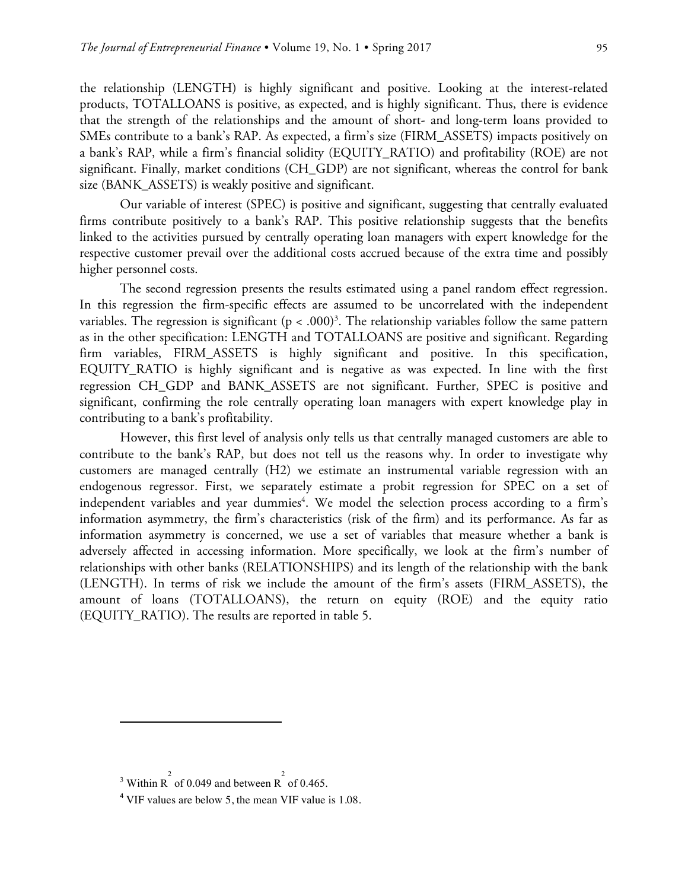the relationship (LENGTH) is highly significant and positive. Looking at the interest-related products, TOTALLOANS is positive, as expected, and is highly significant. Thus, there is evidence that the strength of the relationships and the amount of short- and long-term loans provided to SMEs contribute to a bank's RAP. As expected, a firm's size (FIRM\_ASSETS) impacts positively on a bank's RAP, while a firm's financial solidity (EQUITY\_RATIO) and profitability (ROE) are not significant. Finally, market conditions (CH\_GDP) are not significant, whereas the control for bank size (BANK\_ASSETS) is weakly positive and significant.

Our variable of interest (SPEC) is positive and significant, suggesting that centrally evaluated firms contribute positively to a bank's RAP. This positive relationship suggests that the benefits linked to the activities pursued by centrally operating loan managers with expert knowledge for the respective customer prevail over the additional costs accrued because of the extra time and possibly higher personnel costs.

The second regression presents the results estimated using a panel random effect regression. In this regression the firm-specific effects are assumed to be uncorrelated with the independent variables. The regression is significant ( $p < .000$ )<sup>3</sup>. The relationship variables follow the same pattern as in the other specification: LENGTH and TOTALLOANS are positive and significant. Regarding firm variables, FIRM\_ASSETS is highly significant and positive. In this specification, EQUITY\_RATIO is highly significant and is negative as was expected. In line with the first regression CH\_GDP and BANK\_ASSETS are not significant. Further, SPEC is positive and significant, confirming the role centrally operating loan managers with expert knowledge play in contributing to a bank's profitability.

However, this first level of analysis only tells us that centrally managed customers are able to contribute to the bank's RAP, but does not tell us the reasons why. In order to investigate why customers are managed centrally (H2) we estimate an instrumental variable regression with an endogenous regressor. First, we separately estimate a probit regression for SPEC on a set of independent variables and year dummies<sup>4</sup>. We model the selection process according to a firm's information asymmetry, the firm's characteristics (risk of the firm) and its performance. As far as information asymmetry is concerned, we use a set of variables that measure whether a bank is adversely affected in accessing information. More specifically, we look at the firm's number of relationships with other banks (RELATIONSHIPS) and its length of the relationship with the bank (LENGTH). In terms of risk we include the amount of the firm's assets (FIRM\_ASSETS), the amount of loans (TOTALLOANS), the return on equity (ROE) and the equity ratio (EQUITY\_RATIO). The results are reported in table 5.

 $\overline{a}$ 

<sup>&</sup>lt;sup>3</sup> Within R<sup>2</sup> of 0.049 and between R<sup>2</sup> of 0.465.

 $4$  VIF values are below 5, the mean VIF value is 1.08.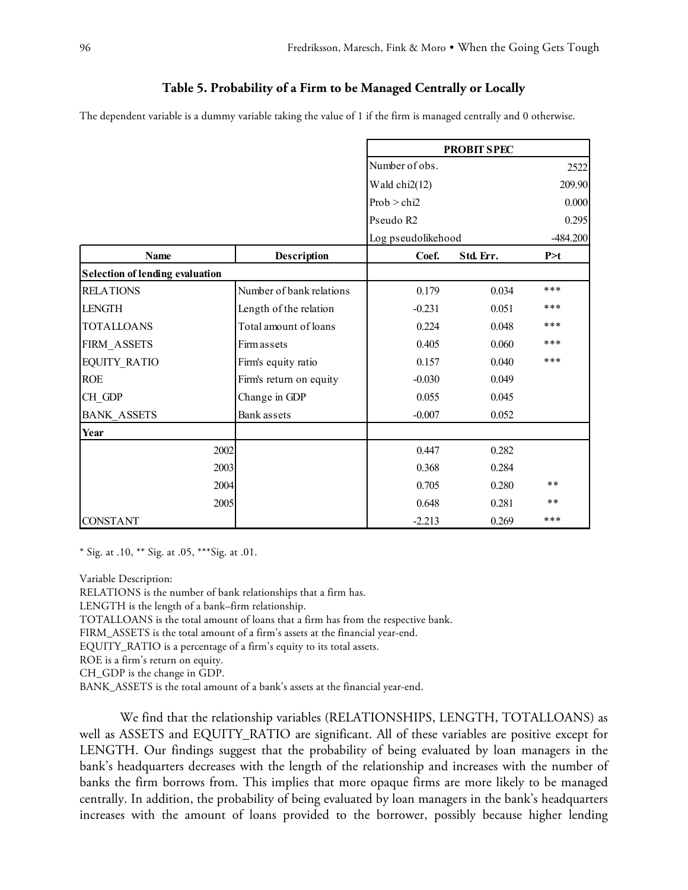### **Table 5. Probability of a Firm to be Managed Centrally or Locally**

The dependent variable is a dummy variable taking the value of 1 if the firm is managed centrally and 0 otherwise.

|                                        |                          | <b>PROBIT SPEC</b> |           |            |  |
|----------------------------------------|--------------------------|--------------------|-----------|------------|--|
|                                        |                          | Number of obs.     |           | 2522       |  |
|                                        |                          | Wald chi2(12)      |           | 209.90     |  |
|                                        |                          | Prob > chi2        |           | 0.000      |  |
|                                        |                          | Pseudo R2          |           | 0.295      |  |
|                                        |                          | Log pseudolikehood |           | $-484.200$ |  |
| <b>Name</b>                            | Description              | Coef.              | Std. Err. | P > t      |  |
| <b>Selection of lending evaluation</b> |                          |                    |           |            |  |
| <b>RELATIONS</b>                       | Number of bank relations | 0.179              | 0.034     | ***        |  |
| <b>LENGTH</b>                          | Length of the relation   | $-0.231$           | 0.051     | ***        |  |
| <b>TOTALLOANS</b>                      | Total amount of loans    | 0.224              | 0.048     | ***        |  |
| FIRM ASSETS                            | <b>Firm assets</b>       | 0.405              | 0.060     | ***        |  |
| <b>EQUITY RATIO</b>                    | Firm's equity ratio      | 0.157              | 0.040     | ***        |  |
| <b>ROE</b>                             | Firm's return on equity  | $-0.030$           | 0.049     |            |  |
| CH GDP                                 | Change in GDP            | 0.055              | 0.045     |            |  |
| <b>BANK ASSETS</b>                     | Bank assets              | $-0.007$           | 0.052     |            |  |
| Year                                   |                          |                    |           |            |  |
| 2002                                   |                          | 0.447              | 0.282     |            |  |
| 2003                                   |                          | 0.368              | 0.284     |            |  |
| 2004                                   |                          | 0.705              | 0.280     | $* *$      |  |
| 2005                                   |                          | 0.648              | 0.281     | $* *$      |  |
| <b>CONSTANT</b>                        |                          | $-2.213$           | 0.269     | ***        |  |

\* Sig. at .10, \*\* Sig. at .05, \*\*\*Sig. at .01.

Variable Description:

RELATIONS is the number of bank relationships that a firm has.

LENGTH is the length of a bank–firm relationship.

TOTALLOANS is the total amount of loans that a firm has from the respective bank.

FIRM\_ASSETS is the total amount of a firm's assets at the financial year-end.

EQUITY\_RATIO is a percentage of a firm's equity to its total assets.

ROE is a firm's return on equity.

CH\_GDP is the change in GDP.

BANK\_ASSETS is the total amount of a bank's assets at the financial year-end.

We find that the relationship variables (RELATIONSHIPS, LENGTH, TOTALLOANS) as well as ASSETS and EQUITY\_RATIO are significant. All of these variables are positive except for LENGTH. Our findings suggest that the probability of being evaluated by loan managers in the bank's headquarters decreases with the length of the relationship and increases with the number of banks the firm borrows from. This implies that more opaque firms are more likely to be managed centrally. In addition, the probability of being evaluated by loan managers in the bank's headquarters increases with the amount of loans provided to the borrower, possibly because higher lending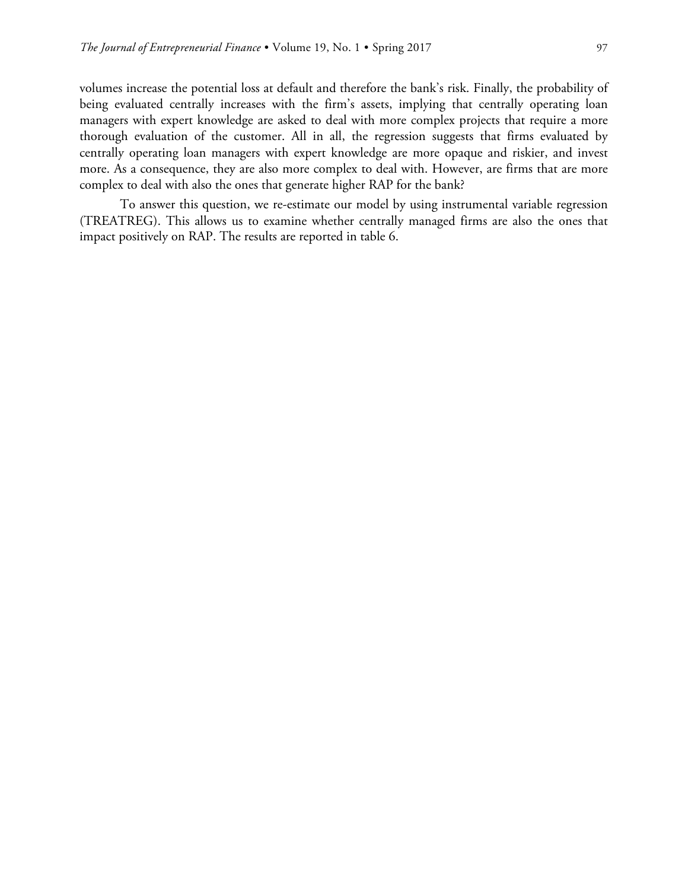volumes increase the potential loss at default and therefore the bank's risk. Finally, the probability of being evaluated centrally increases with the firm's assets, implying that centrally operating loan managers with expert knowledge are asked to deal with more complex projects that require a more thorough evaluation of the customer. All in all, the regression suggests that firms evaluated by centrally operating loan managers with expert knowledge are more opaque and riskier, and invest more. As a consequence, they are also more complex to deal with. However, are firms that are more complex to deal with also the ones that generate higher RAP for the bank?

To answer this question, we re-estimate our model by using instrumental variable regression (TREATREG). This allows us to examine whether centrally managed firms are also the ones that impact positively on RAP. The results are reported in table 6.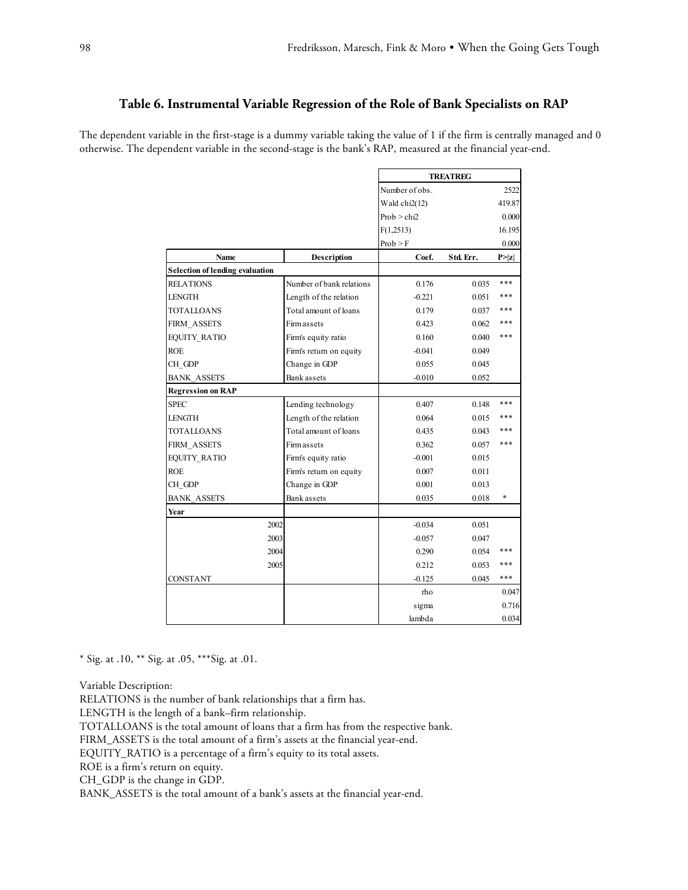### **Table 6. Instrumental Variable Regression of the Role of Bank Specialists on RAP**

The dependent variable in the first-stage is a dummy variable taking the value of 1 if the firm is centrally managed and 0 otherwise. The dependent variable in the second-stage is the bank's RAP, measured at the financial year-end.

|                                        |                          | <b>TREATREG</b> |           |        |
|----------------------------------------|--------------------------|-----------------|-----------|--------|
|                                        |                          | Number of obs.  |           | 2522   |
|                                        |                          | Wald $chi2(12)$ |           | 419.87 |
|                                        |                          | Prob > chi2     |           | 0.000  |
|                                        |                          | F(1,2513)       |           | 16.195 |
|                                        |                          | Prob > F        |           | 0.000  |
| Name                                   | Description              | Coef.           | Std. Err. | P >  z |
| <b>Selection of lending evaluation</b> |                          |                 |           |        |
| <b>RELATIONS</b>                       | Number of bank relations | 0.176           | 0.035     | ***    |
| <b>LENGTH</b>                          | Length of the relation   | $-0.221$        | 0.051     | ***    |
| <b>TOTALLOANS</b>                      | Total amount of loans    | 0.179           | 0.037     | ***    |
| FIRM ASSETS                            | <b>Firm assets</b>       | 0.423           | 0.062     | ***    |
| <b>EQUITY RATIO</b>                    | Firm's equity ratio      | 0.160           | 0.040     | ***    |
| <b>ROE</b>                             | Firm's return on equity  | $-0.041$        | 0.049     |        |
| CH GDP                                 | Change in GDP            | 0.055           | 0.045     |        |
| <b>BANK ASSETS</b>                     | Bank assets              | $-0.010$        | 0.052     |        |
| <b>Regression on RAP</b>               |                          |                 |           |        |
| <b>SPEC</b>                            | Lending technology       | 0.407           | 0.148     | ***    |
| <b>LENGTH</b>                          | Length of the relation   | 0.064           | 0.015     | ***    |
| <b>TOTALLOANS</b>                      | Total amount of loans    | 0.435           | 0.043     | ***    |
| FIRM ASSETS                            | Firm assets              | 0.362           | 0.057     | ***    |
| <b>EQUITY RATIO</b>                    | Firm's equity ratio      | $-0.001$        | 0.015     |        |
| <b>ROE</b>                             | Firm's return on equity  | 0.007           | 0.011     |        |
| CH GDP                                 | Change in GDP            | 0.001           | 0.013     |        |
| <b>BANK ASSETS</b>                     | Bank assets              | 0.035           | 0.018     | *      |
| Year                                   |                          |                 |           |        |
| 2002                                   |                          | $-0.034$        | 0.051     |        |
| 2003                                   |                          | $-0.057$        | 0.047     |        |
| 2004                                   |                          | 0.290           | 0.054     | ***    |
| 2005                                   |                          | 0.212           | 0.053     | ***    |
| <b>CONSTANT</b>                        |                          | $-0.125$        | 0.045     | ***    |
|                                        |                          | rho             |           | 0.047  |
|                                        |                          | sigma           |           | 0.716  |
|                                        |                          | lambda          |           | 0.034  |

\* Sig. at .10, \*\* Sig. at .05, \*\*\*Sig. at .01.

Variable Description:

RELATIONS is the number of bank relationships that a firm has.

LENGTH is the length of a bank–firm relationship.

TOTALLOANS is the total amount of loans that a firm has from the respective bank.

FIRM\_ASSETS is the total amount of a firm's assets at the financial year-end.

EQUITY\_RATIO is a percentage of a firm's equity to its total assets.

ROE is a firm's return on equity.

CH\_GDP is the change in GDP.

BANK\_ASSETS is the total amount of a bank's assets at the financial year-end.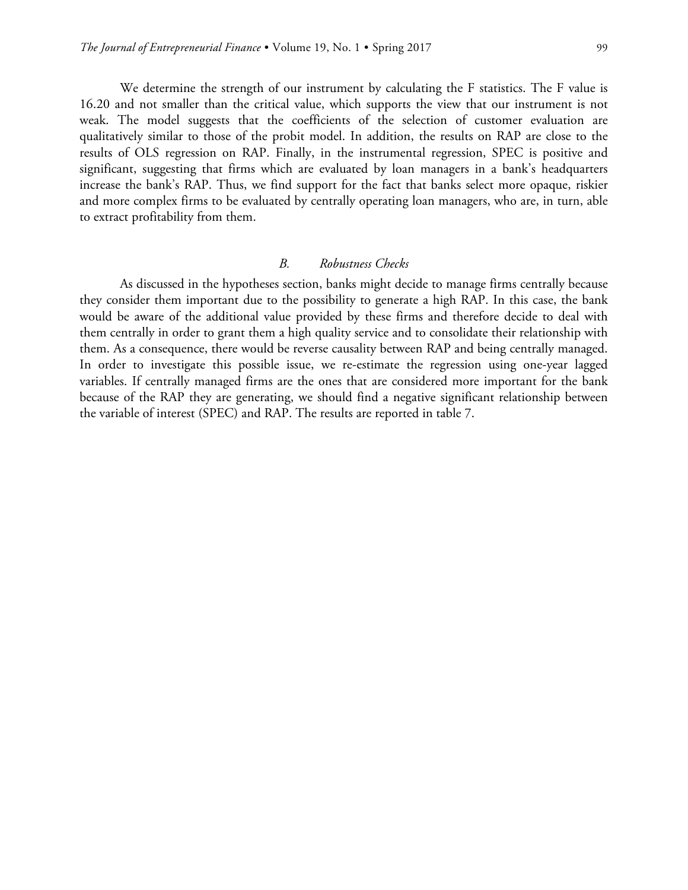We determine the strength of our instrument by calculating the F statistics. The F value is 16.20 and not smaller than the critical value, which supports the view that our instrument is not weak. The model suggests that the coefficients of the selection of customer evaluation are qualitatively similar to those of the probit model. In addition, the results on RAP are close to the results of OLS regression on RAP. Finally, in the instrumental regression, SPEC is positive and significant, suggesting that firms which are evaluated by loan managers in a bank's headquarters increase the bank's RAP. Thus, we find support for the fact that banks select more opaque, riskier and more complex firms to be evaluated by centrally operating loan managers, who are, in turn, able to extract profitability from them.

### *B. Robustness Checks*

As discussed in the hypotheses section, banks might decide to manage firms centrally because they consider them important due to the possibility to generate a high RAP. In this case, the bank would be aware of the additional value provided by these firms and therefore decide to deal with them centrally in order to grant them a high quality service and to consolidate their relationship with them. As a consequence, there would be reverse causality between RAP and being centrally managed. In order to investigate this possible issue, we re-estimate the regression using one-year lagged variables. If centrally managed firms are the ones that are considered more important for the bank because of the RAP they are generating, we should find a negative significant relationship between the variable of interest (SPEC) and RAP. The results are reported in table 7.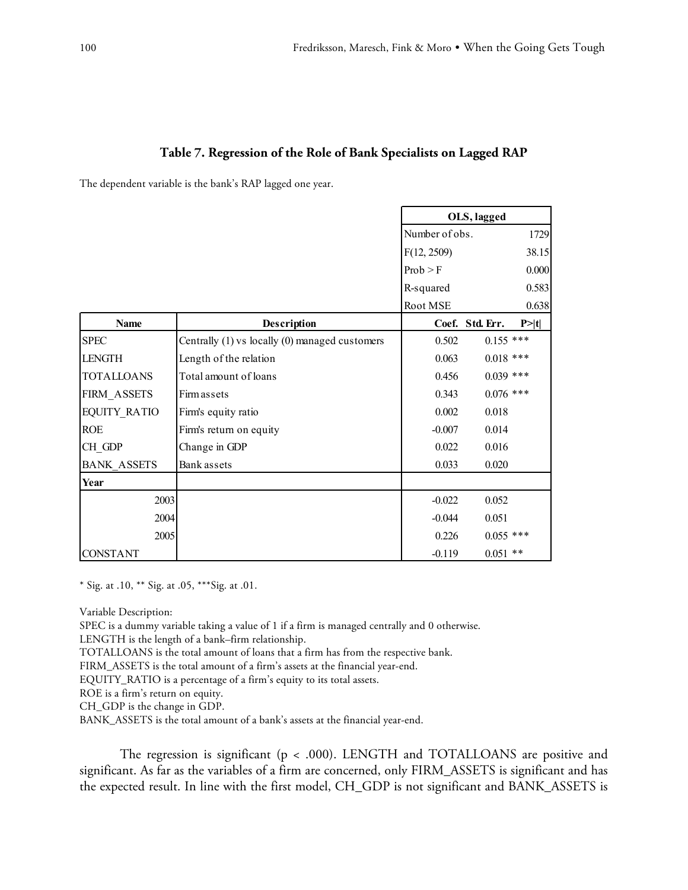### **Table 7. Regression of the Role of Bank Specialists on Lagged RAP**

The dependent variable is the bank's RAP lagged one year.

|                     |                                                | OLS, lagged    |                 |        |
|---------------------|------------------------------------------------|----------------|-----------------|--------|
|                     |                                                | Number of obs. |                 | 1729   |
|                     |                                                | F(12, 2509)    |                 | 38.15  |
|                     |                                                | Prob > F       |                 | 0.000  |
|                     |                                                | R-squared      |                 | 0.583  |
|                     |                                                | Root MSE       |                 | 0.638  |
| <b>Name</b>         | Description                                    |                | Coef. Std. Err. | P >  t |
| <b>SPEC</b>         | Centrally (1) vs locally (0) managed customers | 0.502          | $0.155$ ***     |        |
| <b>LENGTH</b>       | Length of the relation                         | 0.063          | $0.018$ ***     |        |
| <b>TOTALLOANS</b>   | Total amount of loans                          | 0.456          | $0.039$ ***     |        |
| FIRM ASSETS         | <b>Firm assets</b>                             | 0.343          | $0.076$ ***     |        |
| <b>EQUITY RATIO</b> | Firm's equity ratio                            | 0.002          | 0.018           |        |
| <b>ROE</b>          | Firm's return on equity                        | $-0.007$       | 0.014           |        |
| CH GDP              | Change in GDP                                  | 0.022          | 0.016           |        |
| <b>BANK ASSETS</b>  | Bank assets                                    | 0.033          | 0.020           |        |
| Year                |                                                |                |                 |        |
| 2003                |                                                | $-0.022$       | 0.052           |        |
| 2004                |                                                | $-0.044$       | 0.051           |        |
| 2005                |                                                | 0.226          | $0.055$ ***     |        |
| <b>CONSTANT</b>     |                                                | $-0.119$       | $0.051$ **      |        |

\* Sig. at .10, \*\* Sig. at .05, \*\*\*Sig. at .01.

Variable Description:

SPEC is a dummy variable taking a value of 1 if a firm is managed centrally and 0 otherwise.

LENGTH is the length of a bank–firm relationship.

TOTALLOANS is the total amount of loans that a firm has from the respective bank.

FIRM\_ASSETS is the total amount of a firm's assets at the financial year-end.

EQUITY\_RATIO is a percentage of a firm's equity to its total assets.

ROE is a firm's return on equity.

CH\_GDP is the change in GDP.

BANK\_ASSETS is the total amount of a bank's assets at the financial year-end.

The regression is significant (p < .000). LENGTH and TOTALLOANS are positive and significant. As far as the variables of a firm are concerned, only FIRM\_ASSETS is significant and has the expected result. In line with the first model, CH\_GDP is not significant and BANK\_ASSETS is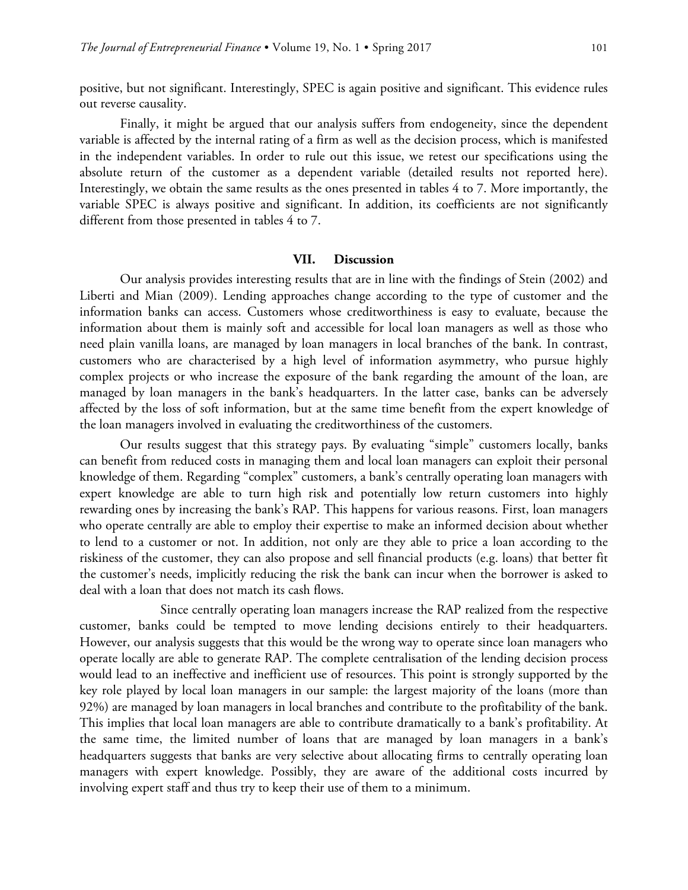positive, but not significant. Interestingly, SPEC is again positive and significant. This evidence rules out reverse causality.

Finally, it might be argued that our analysis suffers from endogeneity, since the dependent variable is affected by the internal rating of a firm as well as the decision process, which is manifested in the independent variables. In order to rule out this issue, we retest our specifications using the absolute return of the customer as a dependent variable (detailed results not reported here). Interestingly, we obtain the same results as the ones presented in tables 4 to 7. More importantly, the variable SPEC is always positive and significant. In addition, its coefficients are not significantly different from those presented in tables 4 to 7.

### **VII. Discussion**

Our analysis provides interesting results that are in line with the findings of Stein (2002) and Liberti and Mian (2009). Lending approaches change according to the type of customer and the information banks can access. Customers whose creditworthiness is easy to evaluate, because the information about them is mainly soft and accessible for local loan managers as well as those who need plain vanilla loans, are managed by loan managers in local branches of the bank. In contrast, customers who are characterised by a high level of information asymmetry, who pursue highly complex projects or who increase the exposure of the bank regarding the amount of the loan, are managed by loan managers in the bank's headquarters. In the latter case, banks can be adversely affected by the loss of soft information, but at the same time benefit from the expert knowledge of the loan managers involved in evaluating the creditworthiness of the customers.

Our results suggest that this strategy pays. By evaluating "simple" customers locally, banks can benefit from reduced costs in managing them and local loan managers can exploit their personal knowledge of them. Regarding "complex" customers, a bank's centrally operating loan managers with expert knowledge are able to turn high risk and potentially low return customers into highly rewarding ones by increasing the bank's RAP. This happens for various reasons. First, loan managers who operate centrally are able to employ their expertise to make an informed decision about whether to lend to a customer or not. In addition, not only are they able to price a loan according to the riskiness of the customer, they can also propose and sell financial products (e.g. loans) that better fit the customer's needs, implicitly reducing the risk the bank can incur when the borrower is asked to deal with a loan that does not match its cash flows.

Since centrally operating loan managers increase the RAP realized from the respective customer, banks could be tempted to move lending decisions entirely to their headquarters. However, our analysis suggests that this would be the wrong way to operate since loan managers who operate locally are able to generate RAP. The complete centralisation of the lending decision process would lead to an ineffective and inefficient use of resources. This point is strongly supported by the key role played by local loan managers in our sample: the largest majority of the loans (more than 92%) are managed by loan managers in local branches and contribute to the profitability of the bank. This implies that local loan managers are able to contribute dramatically to a bank's profitability. At the same time, the limited number of loans that are managed by loan managers in a bank's headquarters suggests that banks are very selective about allocating firms to centrally operating loan managers with expert knowledge. Possibly, they are aware of the additional costs incurred by involving expert staff and thus try to keep their use of them to a minimum.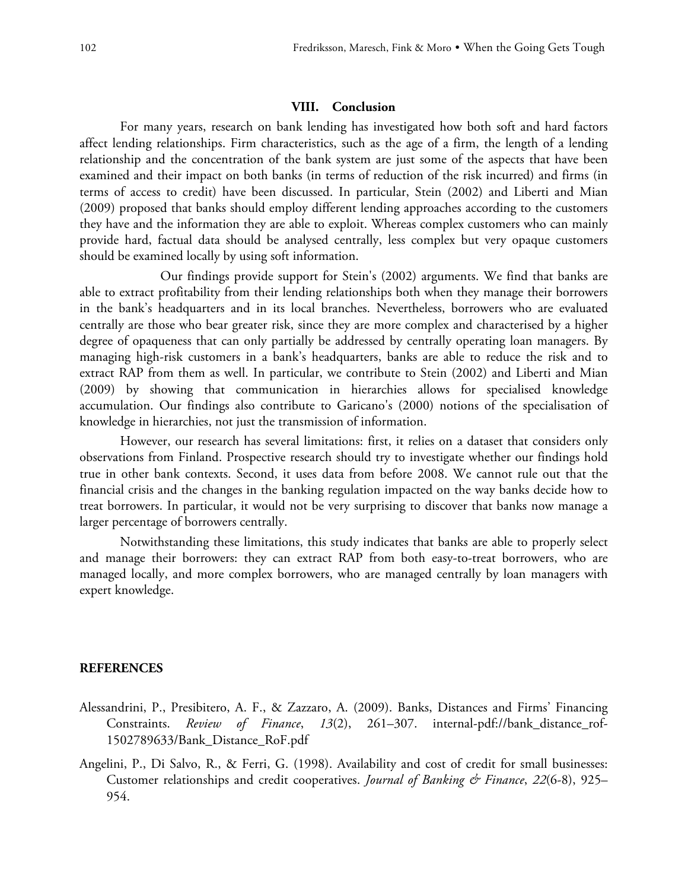### **VIII. Conclusion**

For many years, research on bank lending has investigated how both soft and hard factors affect lending relationships. Firm characteristics, such as the age of a firm, the length of a lending relationship and the concentration of the bank system are just some of the aspects that have been examined and their impact on both banks (in terms of reduction of the risk incurred) and firms (in terms of access to credit) have been discussed. In particular, Stein (2002) and Liberti and Mian (2009) proposed that banks should employ different lending approaches according to the customers they have and the information they are able to exploit. Whereas complex customers who can mainly provide hard, factual data should be analysed centrally, less complex but very opaque customers should be examined locally by using soft information.

Our findings provide support for Stein's (2002) arguments. We find that banks are able to extract profitability from their lending relationships both when they manage their borrowers in the bank's headquarters and in its local branches. Nevertheless, borrowers who are evaluated centrally are those who bear greater risk, since they are more complex and characterised by a higher degree of opaqueness that can only partially be addressed by centrally operating loan managers. By managing high-risk customers in a bank's headquarters, banks are able to reduce the risk and to extract RAP from them as well. In particular, we contribute to Stein (2002) and Liberti and Mian (2009) by showing that communication in hierarchies allows for specialised knowledge accumulation. Our findings also contribute to Garicano's (2000) notions of the specialisation of knowledge in hierarchies, not just the transmission of information.

However, our research has several limitations: first, it relies on a dataset that considers only observations from Finland. Prospective research should try to investigate whether our findings hold true in other bank contexts. Second, it uses data from before 2008. We cannot rule out that the financial crisis and the changes in the banking regulation impacted on the way banks decide how to treat borrowers. In particular, it would not be very surprising to discover that banks now manage a larger percentage of borrowers centrally.

Notwithstanding these limitations, this study indicates that banks are able to properly select and manage their borrowers: they can extract RAP from both easy-to-treat borrowers, who are managed locally, and more complex borrowers, who are managed centrally by loan managers with expert knowledge.

### **REFERENCES**

- Alessandrini, P., Presibitero, A. F., & Zazzaro, A. (2009). Banks, Distances and Firms' Financing Constraints. *Review of Finance*, *13*(2), 261–307. internal-pdf://bank\_distance\_rof-1502789633/Bank\_Distance\_RoF.pdf
- Angelini, P., Di Salvo, R., & Ferri, G. (1998). Availability and cost of credit for small businesses: Customer relationships and credit cooperatives. *Journal of Banking & Finance*, *22*(6-8), 925– 954.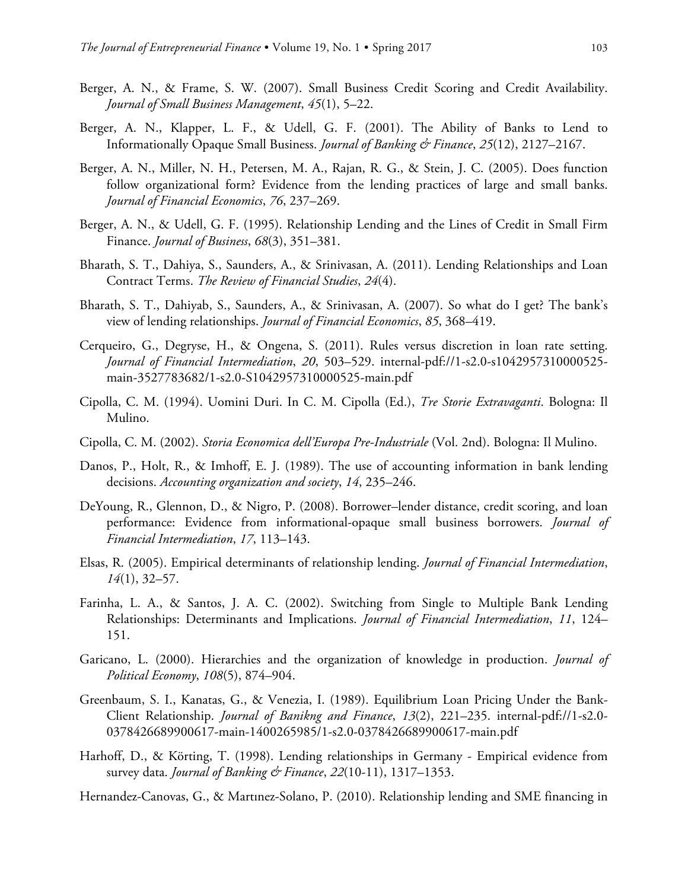- Berger, A. N., & Frame, S. W. (2007). Small Business Credit Scoring and Credit Availability. *Journal of Small Business Management*, *45*(1), 5–22.
- Berger, A. N., Klapper, L. F., & Udell, G. F. (2001). The Ability of Banks to Lend to Informationally Opaque Small Business. *Journal of Banking & Finance*, *25*(12), 2127–2167.
- Berger, A. N., Miller, N. H., Petersen, M. A., Rajan, R. G., & Stein, J. C. (2005). Does function follow organizational form? Evidence from the lending practices of large and small banks. *Journal of Financial Economics*, *76*, 237–269.
- Berger, A. N., & Udell, G. F. (1995). Relationship Lending and the Lines of Credit in Small Firm Finance. *Journal of Business*, *68*(3), 351–381.
- Bharath, S. T., Dahiya, S., Saunders, A., & Srinivasan, A. (2011). Lending Relationships and Loan Contract Terms. *The Review of Financial Studies*, *24*(4).
- Bharath, S. T., Dahiyab, S., Saunders, A., & Srinivasan, A. (2007). So what do I get? The bank's view of lending relationships. *Journal of Financial Economics*, *85*, 368–419.
- Cerqueiro, G., Degryse, H., & Ongena, S. (2011). Rules versus discretion in loan rate setting. *Journal of Financial Intermediation*, *20*, 503–529. internal-pdf://1-s2.0-s1042957310000525 main-3527783682/1-s2.0-S1042957310000525-main.pdf
- Cipolla, C. M. (1994). Uomini Duri. In C. M. Cipolla (Ed.), *Tre Storie Extravaganti*. Bologna: Il Mulino.
- Cipolla, C. M. (2002). *Storia Economica dell'Europa Pre-Industriale* (Vol. 2nd). Bologna: Il Mulino.
- Danos, P., Holt, R., & Imhoff, E. J. (1989). The use of accounting information in bank lending decisions. *Accounting organization and society*, *14*, 235–246.
- DeYoung, R., Glennon, D., & Nigro, P. (2008). Borrower–lender distance, credit scoring, and loan performance: Evidence from informational-opaque small business borrowers. *Journal of Financial Intermediation*, *17*, 113–143.
- Elsas, R. (2005). Empirical determinants of relationship lending. *Journal of Financial Intermediation*, *14*(1), 32–57.
- Farinha, L. A., & Santos, J. A. C. (2002). Switching from Single to Multiple Bank Lending Relationships: Determinants and Implications. *Journal of Financial Intermediation*, *11*, 124– 151.
- Garicano, L. (2000). Hierarchies and the organization of knowledge in production. *Journal of Political Economy*, *108*(5), 874–904.
- Greenbaum, S. I., Kanatas, G., & Venezia, I. (1989). Equilibrium Loan Pricing Under the Bank-Client Relationship. *Journal of Banikng and Finance*, *13*(2), 221–235. internal-pdf://1-s2.0- 0378426689900617-main-1400265985/1-s2.0-0378426689900617-main.pdf
- Harhoff, D., & Körting, T. (1998). Lending relationships in Germany Empirical evidence from survey data. *Journal of Banking & Finance*, *22*(10-11), 1317–1353.
- Hernandez-Canovas, G., & Martınez-Solano, P. (2010). Relationship lending and SME financing in